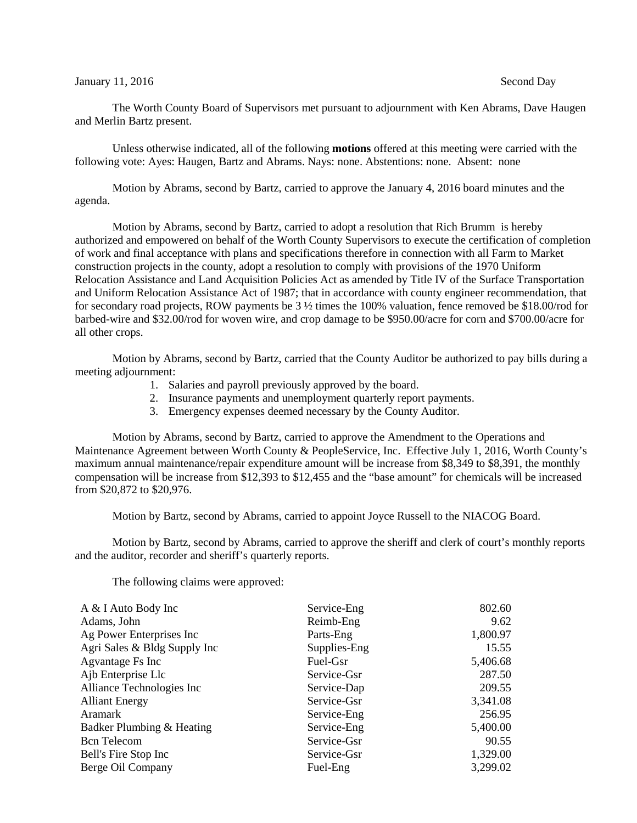## January 11, 2016 Second Day

The Worth County Board of Supervisors met pursuant to adjournment with Ken Abrams, Dave Haugen and Merlin Bartz present.

Unless otherwise indicated, all of the following **motions** offered at this meeting were carried with the following vote: Ayes: Haugen, Bartz and Abrams. Nays: none. Abstentions: none. Absent: none

Motion by Abrams, second by Bartz, carried to approve the January 4, 2016 board minutes and the agenda.

Motion by Abrams, second by Bartz, carried to adopt a resolution that Rich Brumm is hereby authorized and empowered on behalf of the Worth County Supervisors to execute the certification of completion of work and final acceptance with plans and specifications therefore in connection with all Farm to Market construction projects in the county, adopt a resolution to comply with provisions of the 1970 Uniform Relocation Assistance and Land Acquisition Policies Act as amended by Title IV of the Surface Transportation and Uniform Relocation Assistance Act of 1987; that in accordance with county engineer recommendation, that for secondary road projects, ROW payments be 3 ½ times the 100% valuation, fence removed be \$18.00/rod for barbed-wire and \$32.00/rod for woven wire, and crop damage to be \$950.00/acre for corn and \$700.00/acre for all other crops.

Motion by Abrams, second by Bartz, carried that the County Auditor be authorized to pay bills during a meeting adjournment:

- 1. Salaries and payroll previously approved by the board.
- 2. Insurance payments and unemployment quarterly report payments.
- 3. Emergency expenses deemed necessary by the County Auditor.

Motion by Abrams, second by Bartz, carried to approve the Amendment to the Operations and Maintenance Agreement between Worth County & PeopleService, Inc. Effective July 1, 2016, Worth County's maximum annual maintenance/repair expenditure amount will be increase from \$8,349 to \$8,391, the monthly compensation will be increase from \$12,393 to \$12,455 and the "base amount" for chemicals will be increased from \$20,872 to \$20,976.

Motion by Bartz, second by Abrams, carried to appoint Joyce Russell to the NIACOG Board.

Motion by Bartz, second by Abrams, carried to approve the sheriff and clerk of court's monthly reports and the auditor, recorder and sheriff's quarterly reports.

The following claims were approved:

| A & I Auto Body Inc          | Service-Eng  | 802.60   |
|------------------------------|--------------|----------|
| Adams, John                  | Reimb-Eng    | 9.62     |
| Ag Power Enterprises Inc     | Parts-Eng    | 1,800.97 |
| Agri Sales & Bldg Supply Inc | Supplies-Eng | 15.55    |
| Agvantage Fs Inc             | Fuel-Gsr     | 5,406.68 |
| Ajb Enterprise Llc           | Service-Gsr  | 287.50   |
| Alliance Technologies Inc    | Service-Dap  | 209.55   |
| <b>Alliant Energy</b>        | Service-Gsr  | 3,341.08 |
| Aramark                      | Service-Eng  | 256.95   |
| Badker Plumbing & Heating    | Service-Eng  | 5,400.00 |
| <b>Bcn</b> Telecom           | Service-Gsr  | 90.55    |
| Bell's Fire Stop Inc         | Service-Gsr  | 1,329.00 |
| Berge Oil Company            | Fuel-Eng     | 3,299.02 |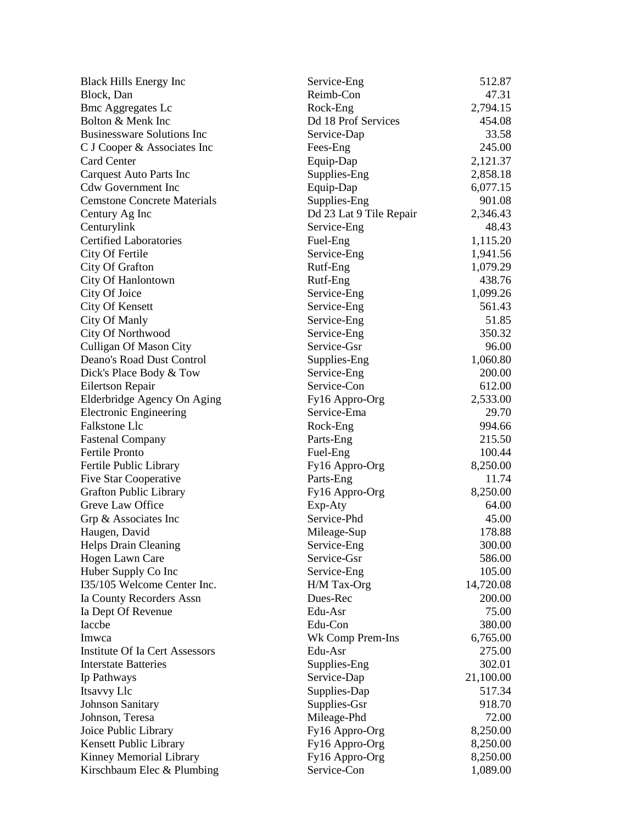| <b>Black Hills Energy Inc</b>          | Service-Eng             | 512.87    |
|----------------------------------------|-------------------------|-----------|
| Block, Dan                             | Reimb-Con               | 47.31     |
| <b>Bmc Aggregates Lc</b>               | Rock-Eng                | 2,794.15  |
| Bolton & Menk Inc                      | Dd 18 Prof Services     | 454.08    |
| <b>Businessware Solutions Inc</b>      | Service-Dap             | 33.58     |
| C J Cooper & Associates Inc            | Fees-Eng                | 245.00    |
| <b>Card Center</b>                     | Equip-Dap               | 2,121.37  |
| <b>Carquest Auto Parts Inc</b>         | Supplies-Eng            | 2,858.18  |
| <b>Cdw Government Inc</b>              | Equip-Dap               | 6,077.15  |
| <b>Cemstone Concrete Materials</b>     | Supplies-Eng            | 901.08    |
| Century Ag Inc                         | Dd 23 Lat 9 Tile Repair | 2,346.43  |
| Centurylink                            | Service-Eng             | 48.43     |
| <b>Certified Laboratories</b>          | Fuel-Eng                | 1,115.20  |
| City Of Fertile                        | Service-Eng             | 1,941.56  |
| City Of Grafton                        | Rutf-Eng                | 1,079.29  |
| City Of Hanlontown                     | Rutf-Eng                | 438.76    |
| City Of Joice                          | Service-Eng             | 1,099.26  |
| <b>City Of Kensett</b>                 | Service-Eng             | 561.43    |
| City Of Manly                          | Service-Eng             | 51.85     |
| City Of Northwood                      | Service-Eng             | 350.32    |
| <b>Culligan Of Mason City</b>          | Service-Gsr             | 96.00     |
| Deano's Road Dust Control              | Supplies-Eng            | 1,060.80  |
| Dick's Place Body & Tow                | Service-Eng             | 200.00    |
| Eilertson Repair                       | Service-Con             | 612.00    |
| Elderbridge Agency On Aging            | Fy16 Appro-Org          | 2,533.00  |
| <b>Electronic Engineering</b>          | Service-Ema             | 29.70     |
| <b>Falkstone Llc</b>                   | Rock-Eng                | 994.66    |
| <b>Fastenal Company</b>                | Parts-Eng               | 215.50    |
| <b>Fertile Pronto</b>                  | Fuel-Eng                | 100.44    |
| Fertile Public Library                 | Fy16 Appro-Org          | 8,250.00  |
| <b>Five Star Cooperative</b>           | Parts-Eng               | 11.74     |
| <b>Grafton Public Library</b>          | Fy16 Appro-Org          | 8,250.00  |
| Greve Law Office                       | Exp-Aty                 | 64.00     |
| Grp & Associates Inc                   | Service-Phd             | 45.00     |
| Haugen, David                          | Mileage-Sup             | 178.88    |
| Helps Drain Cleaning                   | Service-Eng             | 300.00    |
| Hogen Lawn Care                        | Service-Gsr             | 586.00    |
| Huber Supply Co Inc                    | Service-Eng             | 105.00    |
| I35/105 Welcome Center Inc.            | H/M Tax-Org             | 14,720.08 |
| Ia County Recorders Assn               | Dues-Rec                | 200.00    |
| Ia Dept Of Revenue                     | Edu-Asr                 | 75.00     |
| Iaccbe                                 | Edu-Con                 | 380.00    |
| Imwca                                  | Wk Comp Prem-Ins        | 6,765.00  |
| <b>Institute Of Ia Cert Assessors</b>  | Edu-Asr                 | 275.00    |
| <b>Interstate Batteries</b>            | Supplies-Eng            | 302.01    |
| Ip Pathways                            | Service-Dap             | 21,100.00 |
|                                        | Supplies-Dap            | 517.34    |
| Itsavvy Llc<br><b>Johnson Sanitary</b> |                         | 918.70    |
|                                        | Supplies-Gsr            |           |
| Johnson, Teresa                        | Mileage-Phd             | 72.00     |
| Joice Public Library                   | Fy16 Appro-Org          | 8,250.00  |
| Kensett Public Library                 | Fy16 Appro-Org          | 8,250.00  |
| Kinney Memorial Library                | Fy16 Appro-Org          | 8,250.00  |
| Kirschbaum Elec & Plumbing             | Service-Con             | 1,089.00  |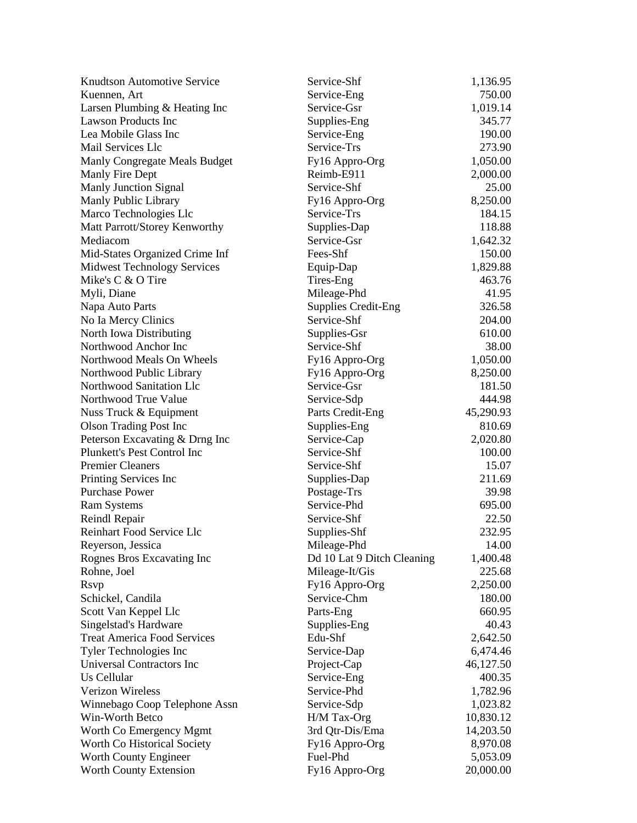| <b>Knudtson Automotive Service</b> | Service-Shf                | 1,136.95  |
|------------------------------------|----------------------------|-----------|
| Kuennen, Art                       | Service-Eng                | 750.00    |
| Larsen Plumbing & Heating Inc      | Service-Gsr                | 1,019.14  |
| <b>Lawson Products Inc</b>         | Supplies-Eng               | 345.77    |
| Lea Mobile Glass Inc               | Service-Eng                | 190.00    |
| Mail Services Llc                  | Service-Trs                | 273.90    |
| Manly Congregate Meals Budget      | Fy16 Appro-Org             | 1,050.00  |
| Manly Fire Dept                    | Reimb-E911                 | 2,000.00  |
| <b>Manly Junction Signal</b>       | Service-Shf                | 25.00     |
| Manly Public Library               | Fy16 Appro-Org             | 8,250.00  |
| Marco Technologies Llc             | Service-Trs                | 184.15    |
| Matt Parrott/Storey Kenworthy      | Supplies-Dap               | 118.88    |
| Mediacom                           | Service-Gsr                | 1,642.32  |
| Mid-States Organized Crime Inf     | Fees-Shf                   | 150.00    |
| <b>Midwest Technology Services</b> | Equip-Dap                  | 1,829.88  |
| Mike's C & O Tire                  | Tires-Eng                  | 463.76    |
| Myli, Diane                        | Mileage-Phd                | 41.95     |
| Napa Auto Parts                    | <b>Supplies Credit-Eng</b> | 326.58    |
| No Ia Mercy Clinics                | Service-Shf                | 204.00    |
| North Iowa Distributing            | Supplies-Gsr               | 610.00    |
| Northwood Anchor Inc               | Service-Shf                | 38.00     |
| Northwood Meals On Wheels          | Fy16 Appro-Org             | 1,050.00  |
| Northwood Public Library           | Fy16 Appro-Org             | 8,250.00  |
| Northwood Sanitation Llc           | Service-Gsr                | 181.50    |
| Northwood True Value               | Service-Sdp                | 444.98    |
| Nuss Truck & Equipment             | Parts Credit-Eng           | 45,290.93 |
| <b>Olson Trading Post Inc</b>      | Supplies-Eng               | 810.69    |
| Peterson Excavating & Drng Inc     | Service-Cap                | 2,020.80  |
| Plunkett's Pest Control Inc        | Service-Shf                | 100.00    |
| <b>Premier Cleaners</b>            | Service-Shf                | 15.07     |
| Printing Services Inc              | Supplies-Dap               | 211.69    |
| <b>Purchase Power</b>              | Postage-Trs                | 39.98     |
| <b>Ram Systems</b>                 | Service-Phd                | 695.00    |
| Reindl Repair                      | Service-Shf                | 22.50     |
| Reinhart Food Service Llc          | Supplies-Shf               | 232.95    |
| Reyerson, Jessica                  | Mileage-Phd                | 14.00     |
| Rognes Bros Excavating Inc         | Dd 10 Lat 9 Ditch Cleaning | 1,400.48  |
| Rohne, Joel                        | Mileage-It/Gis             | 225.68    |
| <b>R</b> svp                       | Fy16 Appro-Org             | 2,250.00  |
| Schickel, Candila                  | Service-Chm                | 180.00    |
| Scott Van Keppel Llc               | Parts-Eng                  | 660.95    |
| Singelstad's Hardware              | Supplies-Eng               | 40.43     |
| <b>Treat America Food Services</b> | Edu-Shf                    | 2,642.50  |
| <b>Tyler Technologies Inc</b>      | Service-Dap                | 6,474.46  |
| Universal Contractors Inc          | Project-Cap                | 46,127.50 |
| Us Cellular                        | Service-Eng                | 400.35    |
| <b>Verizon Wireless</b>            | Service-Phd                | 1,782.96  |
| Winnebago Coop Telephone Assn      | Service-Sdp                | 1,023.82  |
| Win-Worth Betco                    | H/M Tax-Org                | 10,830.12 |
| Worth Co Emergency Mgmt            | 3rd Qtr-Dis/Ema            | 14,203.50 |
| Worth Co Historical Society        | Fy16 Appro-Org             | 8,970.08  |
| Worth County Engineer              | Fuel-Phd                   | 5,053.09  |
| Worth County Extension             | Fy16 Appro-Org             | 20,000.00 |